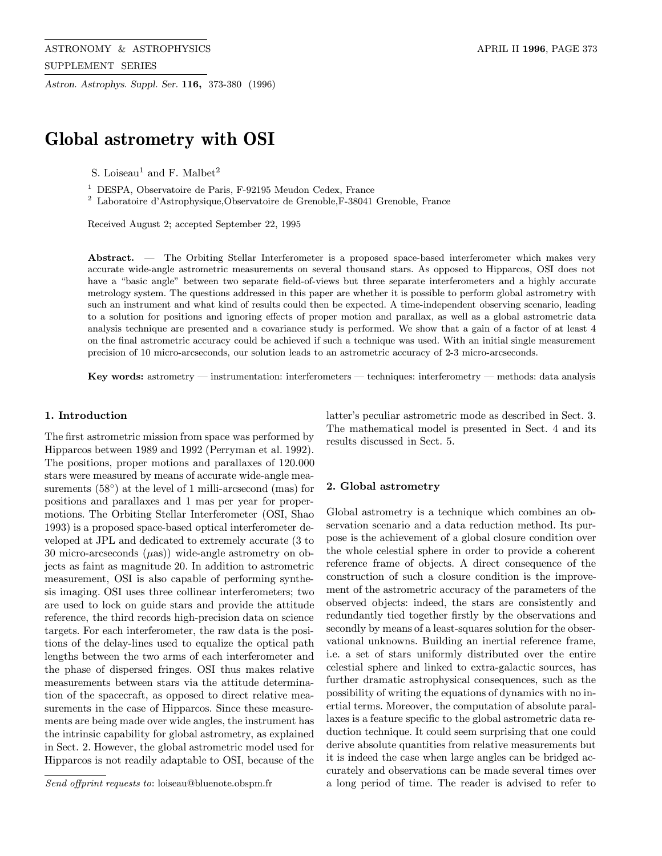Astron. Astrophys. Suppl. Ser. 116, 373-380 (1996)

# Global astrometry with OSI

S. Loiseau<sup>1</sup> and F. Malbet<sup>2</sup>

<sup>1</sup> DESPA, Observatoire de Paris, F-92195 Meudon Cedex, France

 $^{\rm 2}$  Laboratoire d'Astrophysique,Observatoire de Grenoble,F-38041 Grenoble, France

Received August 2; accepted September 22, 1995

Abstract. — The Orbiting Stellar Interferometer is a proposed space-based interferometer which makes very accurate wide-angle astrometric measurements on several thousand stars. As opposed to Hipparcos, OSI does not have a "basic angle" between two separate field-of-views but three separate interferometers and a highly accurate metrology system. The questions addressed in this paper are whether it is possible to perform global astrometry with such an instrument and what kind of results could then be expected. A time-independent observing scenario, leading to a solution for positions and ignoring effects of proper motion and parallax, as well as a global astrometric data analysis technique are presented and a covariance study is performed. We show that a gain of a factor of at least 4 on the final astrometric accuracy could be achieved if such a technique was used. With an initial single measurement precision of 10 micro-arcseconds, our solution leads to an astrometric accuracy of 2-3 micro-arcseconds.

Key words: astrometry — instrumentation: interferometers — techniques: interferometry — methods: data analysis

## 1. Introduction

The first astrometric mission from space was performed by Hipparcos between 1989 and 1992 (Perryman et al. 1992). The positions, proper motions and parallaxes of 120.000 stars were measured by means of accurate wide-angle measurements (58<sup>°</sup>) at the level of 1 milli-arcsecond (mas) for positions and parallaxes and 1 mas per year for propermotions. The Orbiting Stellar Interferometer (OSI, Shao 1993) is a proposed space-based optical interferometer developed at JPL and dedicated to extremely accurate (3 to 30 micro-arcseconds  $(\mu as)$ ) wide-angle astrometry on objects as faint as magnitude 20. In addition to astrometric measurement, OSI is also capable of performing synthesis imaging. OSI uses three collinear interferometers; two are used to lock on guide stars and provide the attitude reference, the third records high-precision data on science targets. For each interferometer, the raw data is the positions of the delay-lines used to equalize the optical path lengths between the two arms of each interferometer and the phase of dispersed fringes. OSI thus makes relative measurements between stars via the attitude determination of the spacecraft, as opposed to direct relative measurements in the case of Hipparcos. Since these measurements are being made over wide angles, the instrument has the intrinsic capability for global astrometry, as explained in Sect. 2. However, the global astrometric model used for Hipparcos is not readily adaptable to OSI, because of the latter's peculiar astrometric mode as described in Sect. 3. The mathematical model is presented in Sect. 4 and its results discussed in Sect. 5.

## 2. Global astrometry

Global astrometry is a technique which combines an observation scenario and a data reduction method. Its purpose is the achievement of a global closure condition over the whole celestial sphere in order to provide a coherent reference frame of objects. A direct consequence of the construction of such a closure condition is the improvement of the astrometric accuracy of the parameters of the observed objects: indeed, the stars are consistently and redundantly tied together firstly by the observations and secondly by means of a least-squares solution for the observational unknowns. Building an inertial reference frame, i.e. a set of stars uniformly distributed over the entire celestial sphere and linked to extra-galactic sources, has further dramatic astrophysical consequences, such as the possibility of writing the equations of dynamics with no inertial terms. Moreover, the computation of absolute parallaxes is a feature specific to the global astrometric data reduction technique. It could seem surprising that one could derive absolute quantities from relative measurements but it is indeed the case when large angles can be bridged accurately and observations can be made several times over a long period of time. The reader is advised to refer to

Send offprint requests to: loiseau@bluenote.obspm.fr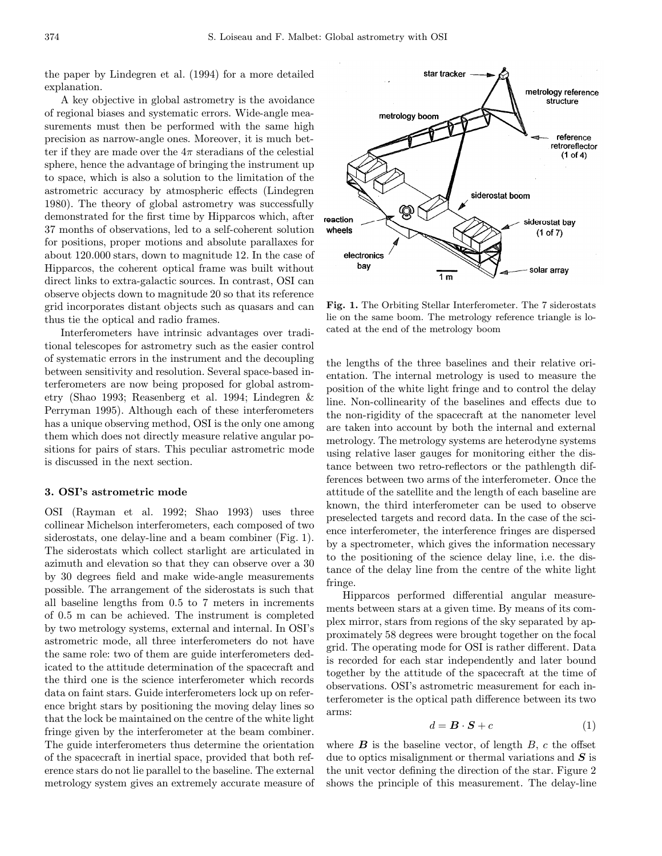the paper by Lindegren et al. (1994) for a more detailed explanation.

A key objective in global astrometry is the avoidance of regional biases and systematic errors. Wide-angle measurements must then be performed with the same high precision as narrow-angle ones. Moreover, it is much better if they are made over the  $4\pi$  steradians of the celestial sphere, hence the advantage of bringing the instrument up to space, which is also a solution to the limitation of the astrometric accuracy by atmospheric effects (Lindegren 1980). The theory of global astrometry was successfully demonstrated for the first time by Hipparcos which, after 37 months of observations, led to a self-coherent solution for positions, proper motions and absolute parallaxes for about 120.000 stars, down to magnitude 12. In the case of Hipparcos, the coherent optical frame was built without direct links to extra-galactic sources. In contrast, OSI can observe objects down to magnitude 20 so that its reference grid incorporates distant objects such as quasars and can thus tie the optical and radio frames.

Interferometers have intrinsic advantages over traditional telescopes for astrometry such as the easier control of systematic errors in the instrument and the decoupling between sensitivity and resolution. Several space-based interferometers are now being proposed for global astrometry (Shao 1993; Reasenberg et al. 1994; Lindegren & Perryman 1995). Although each of these interferometers has a unique observing method, OSI is the only one among them which does not directly measure relative angular positions for pairs of stars. This peculiar astrometric mode is discussed in the next section.

# 3. OSI's astrometric mode

OSI (Rayman et al. 1992; Shao 1993) uses three collinear Michelson interferometers, each composed of two siderostats, one delay-line and a beam combiner (Fig. 1). The siderostats which collect starlight are articulated in azimuth and elevation so that they can observe over a 30 by 30 degrees field and make wide-angle measurements possible. The arrangement of the siderostats is such that all baseline lengths from 0.5 to 7 meters in increments of 0.5 m can be achieved. The instrument is completed by two metrology systems, external and internal. In OSI's astrometric mode, all three interferometers do not have the same role: two of them are guide interferometers dedicated to the attitude determination of the spacecraft and the third one is the science interferometer which records data on faint stars. Guide interferometers lock up on reference bright stars by positioning the moving delay lines so that the lock be maintained on the centre of the white light fringe given by the interferometer at the beam combiner. The guide interferometers thus determine the orientation of the spacecraft in inertial space, provided that both reference stars do not lie parallel to the baseline. The external metrology system gives an extremely accurate measure of



Fig. 1. The Orbiting Stellar Interferometer. The 7 siderostats lie on the same boom. The metrology reference triangle is located at the end of the metrology boom

the lengths of the three baselines and their relative orientation. The internal metrology is used to measure the position of the white light fringe and to control the delay line. Non-collinearity of the baselines and effects due to the non-rigidity of the spacecraft at the nanometer level are taken into account by both the internal and external metrology. The metrology systems are heterodyne systems using relative laser gauges for monitoring either the distance between two retro-reflectors or the pathlength differences between two arms of the interferometer. Once the attitude of the satellite and the length of each baseline are known, the third interferometer can be used to observe preselected targets and record data. In the case of the science interferometer, the interference fringes are dispersed by a spectrometer, which gives the information necessary to the positioning of the science delay line, i.e. the distance of the delay line from the centre of the white light fringe.

Hipparcos performed differential angular measurements between stars at a given time. By means of its complex mirror, stars from regions of the sky separated by approximately 58 degrees were brought together on the focal grid. The operating mode for OSI is rather different. Data is recorded for each star independently and later bound together by the attitude of the spacecraft at the time of observations. OSI's astrometric measurement for each interferometer is the optical path difference between its two arms:

$$
d = \mathbf{B} \cdot \mathbf{S} + c \tag{1}
$$

where  $\bf{B}$  is the baseline vector, of length  $\bf{B}$ ,  $\bf{c}$  the offset due to optics misalignment or thermal variations and  $S$  is the unit vector defining the direction of the star. Figure 2 shows the principle of this measurement. The delay-line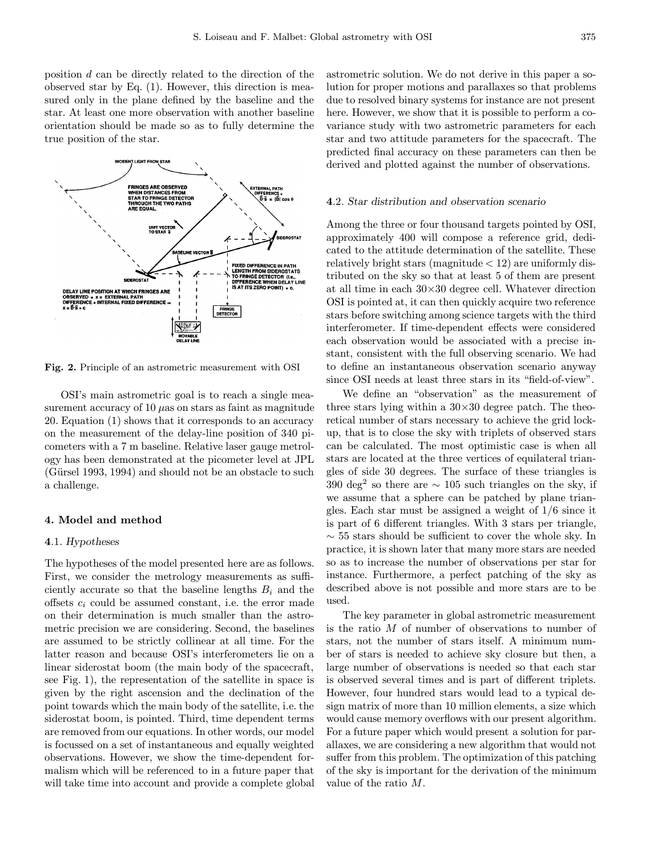position d can be directly related to the direction of the observed star by Eq. (1). However, this direction is measured only in the plane defined by the baseline and the star. At least one more observation with another baseline orientation should be made so as to fully determine the true position of the star.



Fig. 2. Principle of an astrometric measurement with OSI

OSI's main astrometric goal is to reach a single measurement accuracy of  $10 \mu$ as on stars as faint as magnitude 20. Equation (1) shows that it corresponds to an accuracy on the measurement of the delay-line position of 340 picometers with a 7 m baseline. Relative laser gauge metrology has been demonstrated at the picometer level at JPL  $(Gürsel 1993, 1994)$  and should not be an obstacle to such a challenge.

# 4. Model and method

## 4.1. Hypotheses

The hypotheses of the model presented here are as follows. First, we consider the metrology measurements as sufficiently accurate so that the baseline lengths  $B_i$  and the offsets  $c_i$  could be assumed constant, i.e. the error made on their determination is much smaller than the astrometric precision we are considering. Second, the baselines are assumed to be strictly collinear at all time. For the latter reason and because OSI's interferometers lie on a linear siderostat boom (the main body of the spacecraft, see Fig. 1), the representation of the satellite in space is given by the right ascension and the declination of the point towards which the main body of the satellite, i.e. the siderostat boom, is pointed. Third, time dependent terms are removed from our equations. In other words, our model is focussed on a set of instantaneous and equally weighted observations. However, we show the time-dependent formalism which will be referenced to in a future paper that will take time into account and provide a complete global astrometric solution. We do not derive in this paper a solution for proper motions and parallaxes so that problems due to resolved binary systems for instance are not present here. However, we show that it is possible to perform a covariance study with two astrometric parameters for each star and two attitude parameters for the spacecraft. The predicted final accuracy on these parameters can then be derived and plotted against the number of observations.

## 4.2. Star distribution and observation scenario

Among the three or four thousand targets pointed by OSI, approximately 400 will compose a reference grid, dedicated to the attitude determination of the satellite. These relatively bright stars (magnitude  $<$  12) are uniformly distributed on the sky so that at least 5 of them are present at all time in each  $30\times30$  degree cell. Whatever direction OSI is pointed at, it can then quickly acquire two reference stars before switching among science targets with the third interferometer. If time-dependent effects were considered each observation would be associated with a precise instant, consistent with the full observing scenario. We had to define an instantaneous observation scenario anyway since OSI needs at least three stars in its "field-of-view".

We define an "observation" as the measurement of three stars lying within a  $30\times30$  degree patch. The theoretical number of stars necessary to achieve the grid lockup, that is to close the sky with triplets of observed stars can be calculated. The most optimistic case is when all stars are located at the three vertices of equilateral triangles of side 30 degrees. The surface of these triangles is 390 deg<sup>2</sup> so there are  $\sim$  105 such triangles on the sky, if we assume that a sphere can be patched by plane triangles. Each star must be assigned a weight of 1/6 since it is part of 6 different triangles. With 3 stars per triangle,  $\sim$  55 stars should be sufficient to cover the whole sky. In practice, it is shown later that many more stars are needed so as to increase the number of observations per star for instance. Furthermore, a perfect patching of the sky as described above is not possible and more stars are to be used.

The key parameter in global astrometric measurement is the ratio M of number of observations to number of stars, not the number of stars itself. A minimum number of stars is needed to achieve sky closure but then, a large number of observations is needed so that each star is observed several times and is part of different triplets. However, four hundred stars would lead to a typical design matrix of more than 10 million elements, a size which would cause memory overflows with our present algorithm. For a future paper which would present a solution for parallaxes, we are considering a new algorithm that would not suffer from this problem. The optimization of this patching of the sky is important for the derivation of the minimum value of the ratio M.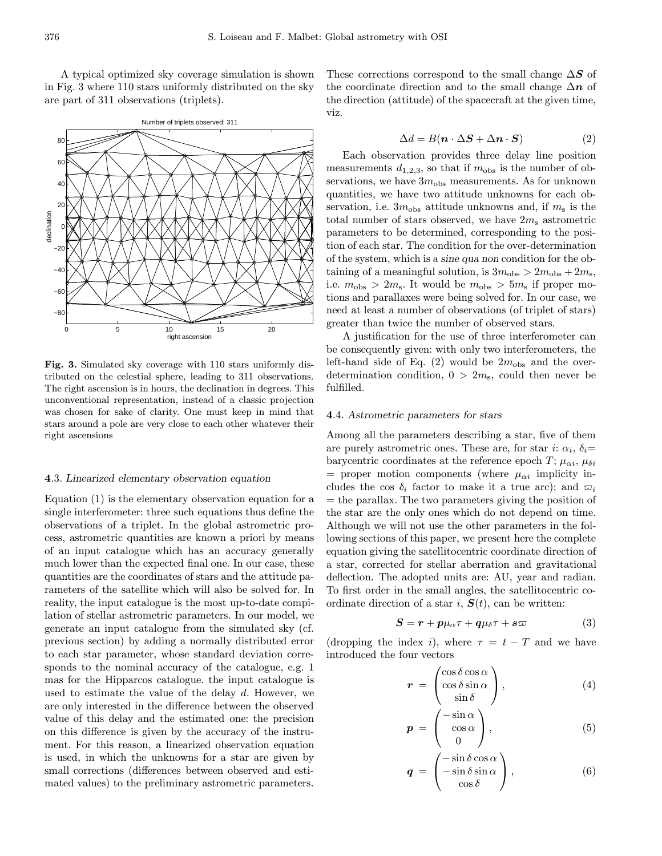A typical optimized sky coverage simulation is shown in Fig. 3 where 110 stars uniformly distributed on the sky are part of 311 observations (triplets).



Fig. 3. Simulated sky coverage with 110 stars uniformly distributed on the celestial sphere, leading to 311 observations. The right ascension is in hours, the declination in degrees. This unconventional representation, instead of a classic projection was chosen for sake of clarity. One must keep in mind that stars around a pole are very close to each other whatever their right ascensions

## 4.3. Linearized elementary observation equation

Equation (1) is the elementary observation equation for a single interferometer: three such equations thus define the observations of a triplet. In the global astrometric process, astrometric quantities are known a priori by means of an input catalogue which has an accuracy generally much lower than the expected final one. In our case, these quantities are the coordinates of stars and the attitude parameters of the satellite which will also be solved for. In reality, the input catalogue is the most up-to-date compilation of stellar astrometric parameters. In our model, we generate an input catalogue from the simulated sky (cf. previous section) by adding a normally distributed error to each star parameter, whose standard deviation corresponds to the nominal accuracy of the catalogue, e.g. 1 mas for the Hipparcos catalogue. the input catalogue is used to estimate the value of the delay d. However, we are only interested in the difference between the observed value of this delay and the estimated one: the precision on this difference is given by the accuracy of the instrument. For this reason, a linearized observation equation is used, in which the unknowns for a star are given by small corrections (differences between observed and estimated values) to the preliminary astrometric parameters.

These corrections correspond to the small change  $\Delta S$  of the coordinate direction and to the small change  $\Delta n$  of the direction (attitude) of the spacecraft at the given time, viz.

$$
\Delta d = B(\mathbf{n} \cdot \Delta \mathbf{S} + \Delta \mathbf{n} \cdot \mathbf{S}) \tag{2}
$$

Each observation provides three delay line position measurements  $d_{1,2,3}$ , so that if  $m_{\text{obs}}$  is the number of observations, we have  $3m_{\text{obs}}$  measurements. As for unknown quantities, we have two attitude unknowns for each observation, i.e.  $3m_{\text{obs}}$  attitude unknowns and, if  $m_{\text{s}}$  is the total number of stars observed, we have  $2m_s$  astrometric parameters to be determined, corresponding to the position of each star. The condition for the over-determination of the system, which is a sine qua non condition for the obtaining of a meaningful solution, is  $3m_{\text{obs}} > 2m_{\text{obs}} + 2m_{\text{s}}$ , i.e.  $m_{\text{obs}} > 2m_{\text{s}}$ . It would be  $m_{\text{obs}} > 5m_{\text{s}}$  if proper motions and parallaxes were being solved for. In our case, we need at least a number of observations (of triplet of stars) greater than twice the number of observed stars.

A justification for the use of three interferometer can be consequently given: with only two interferometers, the left-hand side of Eq.  $(2)$  would be  $2m_{\text{obs}}$  and the overdetermination condition,  $0 > 2m_s$ , could then never be fulfilled.

## 4.4. Astrometric parameters for stars

Among all the parameters describing a star, five of them are purely astrometric ones. These are, for star i:  $\alpha_i$ ,  $\delta_i$ = barycentric coordinates at the reference epoch  $T$ ;  $\mu_{\alpha i}$ ,  $\mu_{\delta i}$ = proper motion components (where  $\mu_{\alpha i}$  implicity includes the cos  $\delta_i$  factor to make it a true arc); and  $\varpi_i$  $=$  the parallax. The two parameters giving the position of the star are the only ones which do not depend on time. Although we will not use the other parameters in the following sections of this paper, we present here the complete equation giving the satellitocentric coordinate direction of a star, corrected for stellar aberration and gravitational deflection. The adopted units are: AU, year and radian. To first order in the small angles, the satellitocentric coordinate direction of a star i,  $S(t)$ , can be written:

$$
S = r + p\mu_{\alpha}\tau + q\mu_{\delta}\tau + s\varpi \tag{3}
$$

(dropping the index i), where  $\tau = t - T$  and we have introduced the four vectors

$$
\boldsymbol{r} = \begin{pmatrix} \cos \delta \cos \alpha \\ \cos \delta \sin \alpha \\ \sin \delta \end{pmatrix}, \qquad (4)
$$

$$
\boldsymbol{p} = \begin{pmatrix} -\sin \alpha \\ \cos \alpha \\ 0 \end{pmatrix}, \tag{5}
$$

$$
\boldsymbol{q} = \begin{pmatrix} -\sin\delta\cos\alpha \\ -\sin\delta\sin\alpha \\ \cos\delta \end{pmatrix}, \qquad (6)
$$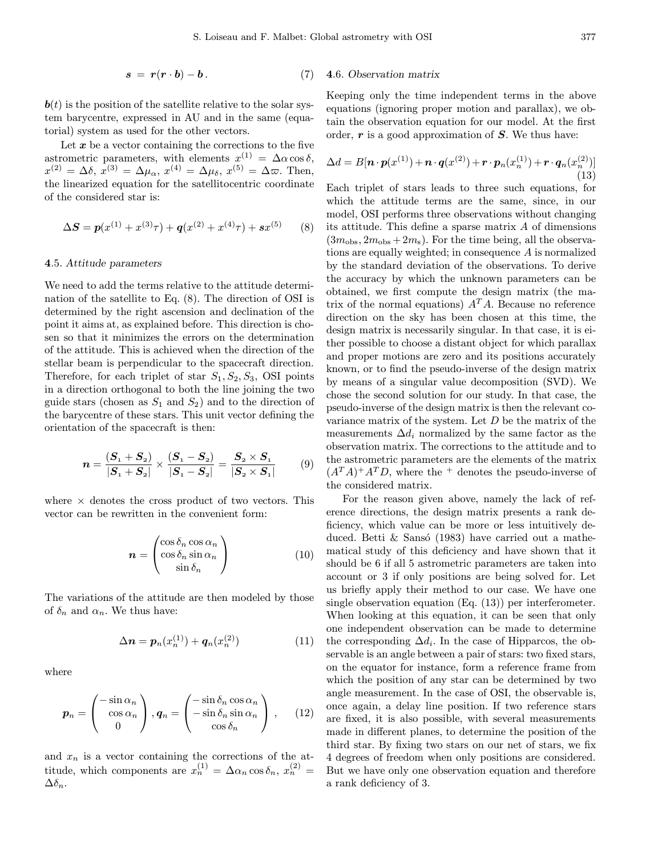$$
s = r(r \cdot b) - b. \tag{7}
$$

 $\mathbf{b}(t)$  is the position of the satellite relative to the solar system barycentre, expressed in AU and in the same (equatorial) system as used for the other vectors.

Let  $x$  be a vector containing the corrections to the five astrometric parameters, with elements  $x^{(1)} = \Delta \alpha \cos \delta$ ,  $x^{(2)} = \Delta \delta, \, x^{(3)} = \Delta \mu_{\alpha}, \, x^{(4)} = \Delta \mu_{\delta}, \, x^{(5)} = \Delta \varpi.$  Then, the linearized equation for the satellitocentric coordinate of the considered star is:

$$
\Delta S = p(x^{(1)} + x^{(3)}\tau) + q(x^{(2)} + x^{(4)}\tau) + sx^{(5)} \tag{8}
$$

#### 4.5. Attitude parameters

We need to add the terms relative to the attitude determination of the satellite to Eq. (8). The direction of OSI is determined by the right ascension and declination of the point it aims at, as explained before. This direction is chosen so that it minimizes the errors on the determination of the attitude. This is achieved when the direction of the stellar beam is perpendicular to the spacecraft direction. Therefore, for each triplet of star  $S_1, S_2, S_3$ , OSI points in a direction orthogonal to both the line joining the two guide stars (chosen as  $S_1$  and  $S_2$ ) and to the direction of the barycentre of these stars. This unit vector defining the orientation of the spacecraft is then:

$$
n = \frac{(S_1 + S_2)}{|S_1 + S_2|} \times \frac{(S_1 - S_2)}{|S_1 - S_2|} = \frac{S_2 \times S_1}{|S_2 \times S_1|}
$$
(9)

where  $\times$  denotes the cross product of two vectors. This vector can be rewritten in the convenient form:

$$
\boldsymbol{n} = \begin{pmatrix} \cos \delta_n \cos \alpha_n \\ \cos \delta_n \sin \alpha_n \\ \sin \delta_n \end{pmatrix}
$$
 (10)

The variations of the attitude are then modeled by those of  $\delta_n$  and  $\alpha_n$ . We thus have:

$$
\Delta n = p_n(x_n^{(1)}) + q_n(x_n^{(2)}) \tag{11}
$$

where

$$
\boldsymbol{p}_n = \begin{pmatrix} -\sin \alpha_n \\ \cos \alpha_n \\ 0 \end{pmatrix}, \boldsymbol{q}_n = \begin{pmatrix} -\sin \delta_n \cos \alpha_n \\ -\sin \delta_n \sin \alpha_n \\ \cos \delta_n \end{pmatrix}, \qquad (12)
$$

and  $x_n$  is a vector containing the corrections of the attitude, which components are  $x_n^{(1)} = \Delta \alpha_n \cos \delta_n, x_n^{(2)} =$  $\Delta \delta_n$ .

## 4.6. Observation matrix

Keeping only the time independent terms in the above equations (ignoring proper motion and parallax), we obtain the observation equation for our model. At the first order,  $\bm{r}$  is a good approximation of  $\bm{S}$ . We thus have:

$$
\Delta d = B[\boldsymbol{n} \cdot \boldsymbol{p}(x^{(1)}) + \boldsymbol{n} \cdot \boldsymbol{q}(x^{(2)}) + \boldsymbol{r} \cdot \boldsymbol{p}_n(x_n^{(1)}) + \boldsymbol{r} \cdot \boldsymbol{q}_n(x_n^{(2)})] \tag{13}
$$

Each triplet of stars leads to three such equations, for which the attitude terms are the same, since, in our model, OSI performs three observations without changing its attitude. This define a sparse matrix  $A$  of dimensions  $(3m_{\text{obs}}, 2m_{\text{obs}} + 2m_{\text{s}})$ . For the time being, all the observations are equally weighted; in consequence A is normalized by the standard deviation of the observations. To derive the accuracy by which the unknown parameters can be obtained, we first compute the design matrix (the matrix of the normal equations)  $A<sup>T</sup>A$ . Because no reference direction on the sky has been chosen at this time, the design matrix is necessarily singular. In that case, it is either possible to choose a distant object for which parallax and proper motions are zero and its positions accurately known, or to find the pseudo-inverse of the design matrix by means of a singular value decomposition (SVD). We chose the second solution for our study. In that case, the pseudo-inverse of the design matrix is then the relevant covariance matrix of the system. Let  $D$  be the matrix of the measurements  $\Delta d_i$  normalized by the same factor as the observation matrix. The corrections to the attitude and to the astrometric parameters are the elements of the matrix  $(A^T A)^+ A^T D$ , where the <sup>+</sup> denotes the pseudo-inverse of the considered matrix.

For the reason given above, namely the lack of reference directions, the design matrix presents a rank deficiency, which value can be more or less intuitively deduced. Betti  $\&$  Sansó (1983) have carried out a mathematical study of this deficiency and have shown that it should be 6 if all 5 astrometric parameters are taken into account or 3 if only positions are being solved for. Let us briefly apply their method to our case. We have one single observation equation (Eq. (13)) per interferometer. When looking at this equation, it can be seen that only one independent observation can be made to determine the corresponding  $\Delta d_i$ . In the case of Hipparcos, the observable is an angle between a pair of stars: two fixed stars, on the equator for instance, form a reference frame from which the position of any star can be determined by two angle measurement. In the case of OSI, the observable is, once again, a delay line position. If two reference stars are fixed, it is also possible, with several measurements made in different planes, to determine the position of the third star. By fixing two stars on our net of stars, we fix 4 degrees of freedom when only positions are considered. But we have only one observation equation and therefore a rank deficiency of 3.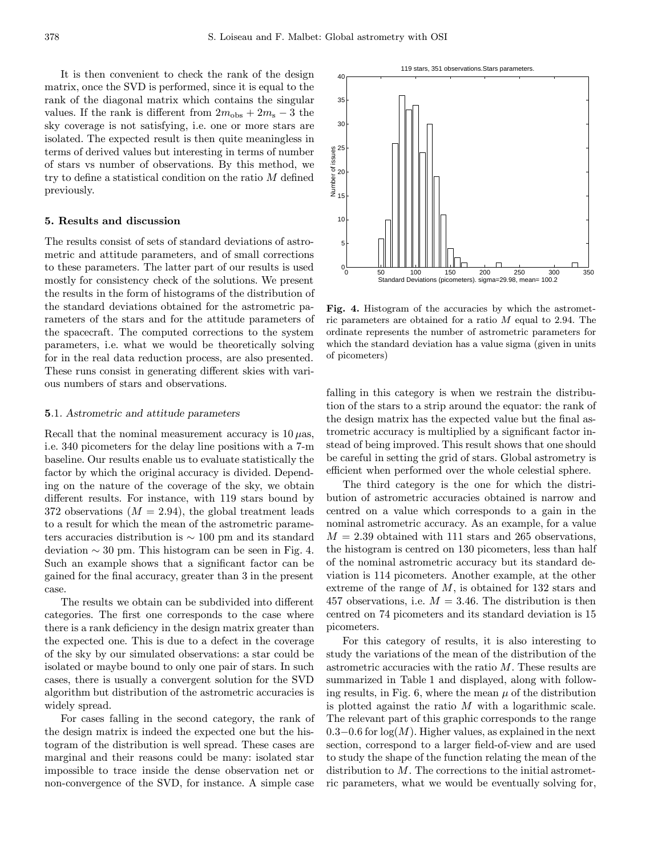It is then convenient to check the rank of the design matrix, once the SVD is performed, since it is equal to the rank of the diagonal matrix which contains the singular values. If the rank is different from  $2m_{\text{obs}} + 2m_{\text{s}} - 3$  the sky coverage is not satisfying, i.e. one or more stars are isolated. The expected result is then quite meaningless in terms of derived values but interesting in terms of number of stars vs number of observations. By this method, we try to define a statistical condition on the ratio M defined previously.

## 5. Results and discussion

The results consist of sets of standard deviations of astrometric and attitude parameters, and of small corrections to these parameters. The latter part of our results is used mostly for consistency check of the solutions. We present the results in the form of histograms of the distribution of the standard deviations obtained for the astrometric parameters of the stars and for the attitude parameters of the spacecraft. The computed corrections to the system parameters, i.e. what we would be theoretically solving for in the real data reduction process, are also presented. These runs consist in generating different skies with various numbers of stars and observations.

## 5.1. Astrometric and attitude parameters

Recall that the nominal measurement accuracy is  $10 \mu$ as, i.e. 340 picometers for the delay line positions with a 7-m baseline. Our results enable us to evaluate statistically the factor by which the original accuracy is divided. Depending on the nature of the coverage of the sky, we obtain different results. For instance, with 119 stars bound by 372 observations  $(M = 2.94)$ , the global treatment leads to a result for which the mean of the astrometric parameters accuracies distribution is ∼ 100 pm and its standard deviation  $\sim 30$  pm. This histogram can be seen in Fig. 4. Such an example shows that a significant factor can be gained for the final accuracy, greater than 3 in the present case.

The results we obtain can be subdivided into different categories. The first one corresponds to the case where there is a rank deficiency in the design matrix greater than the expected one. This is due to a defect in the coverage of the sky by our simulated observations: a star could be isolated or maybe bound to only one pair of stars. In such cases, there is usually a convergent solution for the SVD algorithm but distribution of the astrometric accuracies is widely spread.

For cases falling in the second category, the rank of the design matrix is indeed the expected one but the histogram of the distribution is well spread. These cases are marginal and their reasons could be many: isolated star impossible to trace inside the dense observation net or non-convergence of the SVD, for instance. A simple case

Fig. 4. Histogram of the accuracies by which the astrometric parameters are obtained for a ratio  $M$  equal to 2.94. The ordinate represents the number of astrometric parameters for which the standard deviation has a value sigma (given in units of picometers)

falling in this category is when we restrain the distribution of the stars to a strip around the equator: the rank of the design matrix has the expected value but the final astrometric accuracy is multiplied by a significant factor instead of being improved. This result shows that one should be careful in setting the grid of stars. Global astrometry is efficient when performed over the whole celestial sphere.

The third category is the one for which the distribution of astrometric accuracies obtained is narrow and centred on a value which corresponds to a gain in the nominal astrometric accuracy. As an example, for a value  $M = 2.39$  obtained with 111 stars and 265 observations, the histogram is centred on 130 picometers, less than half of the nominal astrometric accuracy but its standard deviation is 114 picometers. Another example, at the other extreme of the range of  $M$ , is obtained for 132 stars and 457 observations, i.e.  $M = 3.46$ . The distribution is then centred on 74 picometers and its standard deviation is 15 picometers.

For this category of results, it is also interesting to study the variations of the mean of the distribution of the astrometric accuracies with the ratio M. These results are summarized in Table 1 and displayed, along with following results, in Fig. 6, where the mean  $\mu$  of the distribution is plotted against the ratio  $M$  with a logarithmic scale. The relevant part of this graphic corresponds to the range  $0.3-0.6$  for  $log(M)$ . Higher values, as explained in the next section, correspond to a larger field-of-view and are used to study the shape of the function relating the mean of the distribution to M. The corrections to the initial astrometric parameters, what we would be eventually solving for,

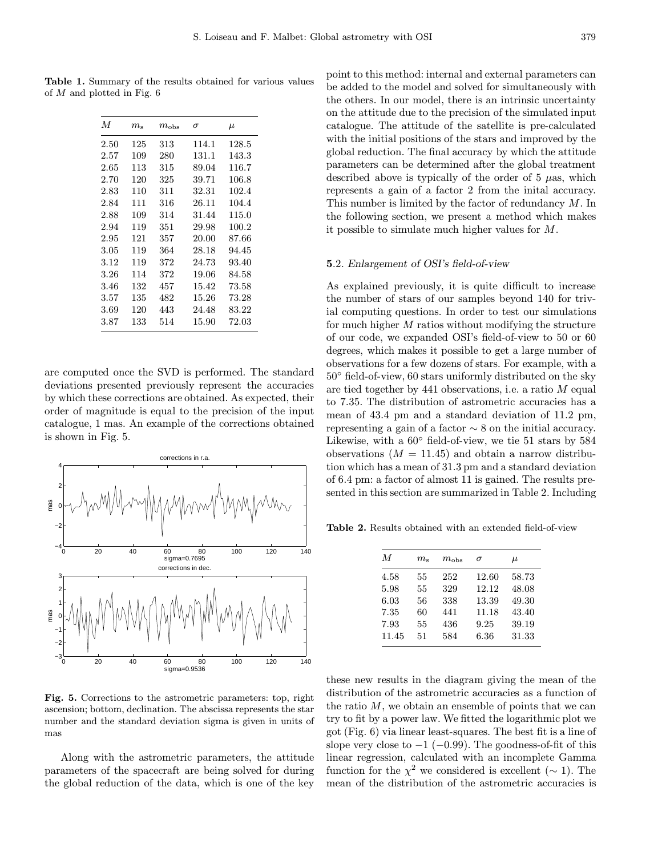Table 1. Summary of the results obtained for various values of M and plotted in Fig. 6

| M        | $m_{\rm s}$ | $m_{\rm obs}$ | σ     | $\mu$     |
|----------|-------------|---------------|-------|-----------|
| $2.50\,$ | 125         | 313           | 114.1 | 128.5     |
| $2.57\,$ | 109         | 280           | 131.1 | 143.3     |
| 2.65     | 113         | 315           | 89.04 | 116.7     |
| 2.70     | 120         | 325           | 39.71 | 106.8     |
| 2.83     | 110         | 311           | 32.31 | 102.4     |
| 2.84     | 111         | 316           | 26.11 | 104.4     |
| 2.88     | 109         | 314           | 31.44 | 115.0     |
| 2.94     | 119         | 351           | 29.98 | 100.2     |
| 2.95     | 121         | 357           | 20.00 | 87.66     |
| 3.05     | 119         | 364           | 28.18 | 94.45     |
| 3.12     | 119         | 372           | 24.73 | 93.40     |
| 3.26     | 114         | 372           | 19.06 | 84.58     |
| 3.46     | 132         | 457           | 15.42 | 73.58     |
| 3.57     | 135         | 482           | 15.26 | 73.28     |
| 3.69     | 120         | 443           | 24.48 | 83.22     |
| $3.87\,$ | 133         | 514           | 15.90 | $72.03\,$ |

are computed once the SVD is performed. The standard deviations presented previously represent the accuracies by which these corrections are obtained. As expected, their order of magnitude is equal to the precision of the input catalogue, 1 mas. An example of the corrections obtained is shown in Fig. 5.



Fig. 5. Corrections to the astrometric parameters: top, right ascension; bottom, declination. The abscissa represents the star number and the standard deviation sigma is given in units of mas

Along with the astrometric parameters, the attitude parameters of the spacecraft are being solved for during the global reduction of the data, which is one of the key point to this method: internal and external parameters can be added to the model and solved for simultaneously with the others. In our model, there is an intrinsic uncertainty on the attitude due to the precision of the simulated input catalogue. The attitude of the satellite is pre-calculated with the initial positions of the stars and improved by the global reduction. The final accuracy by which the attitude parameters can be determined after the global treatment described above is typically of the order of  $5 \mu as$ , which represents a gain of a factor 2 from the inital accuracy. This number is limited by the factor of redundancy M. In the following section, we present a method which makes it possible to simulate much higher values for M.

## 5.2. Enlargement of OSI's field-of-view

As explained previously, it is quite difficult to increase the number of stars of our samples beyond 140 for trivial computing questions. In order to test our simulations for much higher M ratios without modifying the structure of our code, we expanded OSI's field-of-view to 50 or 60 degrees, which makes it possible to get a large number of observations for a few dozens of stars. For example, with a 50◦ field-of-view, 60 stars uniformly distributed on the sky are tied together by 441 observations, i.e. a ratio M equal to 7.35. The distribution of astrometric accuracies has a mean of 43.4 pm and a standard deviation of 11.2 pm, representing a gain of a factor  $\sim$  8 on the initial accuracy. Likewise, with a 60◦ field-of-view, we tie 51 stars by 584 observations  $(M = 11.45)$  and obtain a narrow distribution which has a mean of 31.3 pm and a standard deviation of 6.4 pm: a factor of almost 11 is gained. The results presented in this section are summarized in Table 2. Including

Table 2. Results obtained with an extended field-of-view

| $\boldsymbol{M}$ | $m_\mathrm{s}$ | $m_{\rm obs}$ | $\sigma$ | $\mu$ |
|------------------|----------------|---------------|----------|-------|
| 4.58             | 55             | 252           | 12.60    | 58.73 |
| 5.98             | 55             | 329           | 12.12    | 48.08 |
| 6.03             | 56             | 338           | 13.39    | 49.30 |
| 7.35             | 60             | 441           | 11.18    | 43.40 |
| 7.93             | 55             | 436           | 9.25     | 39.19 |
| 11.45            | 51             | 584           | 6.36     | 31.33 |

these new results in the diagram giving the mean of the distribution of the astrometric accuracies as a function of the ratio  $M$ , we obtain an ensemble of points that we can try to fit by a power law. We fitted the logarithmic plot we got (Fig. 6) via linear least-squares. The best fit is a line of slope very close to  $-1$  ( $-0.99$ ). The goodness-of-fit of this linear regression, calculated with an incomplete Gamma function for the  $\chi^2$  we considered is excellent ( $\sim$  1). The mean of the distribution of the astrometric accuracies is